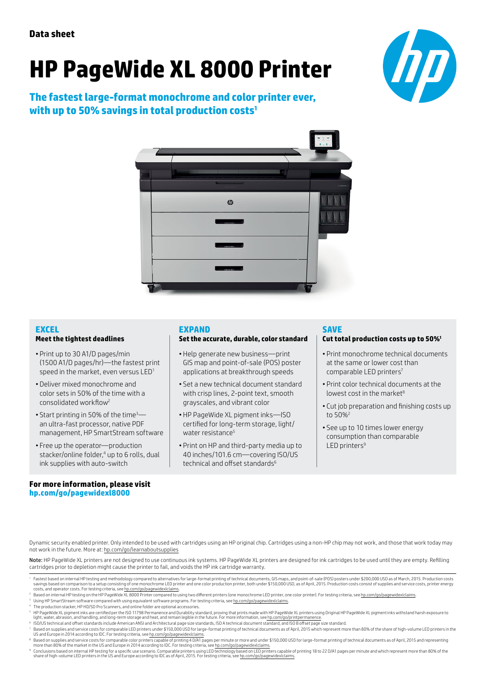# **HP PageWide XL 8000 Printer**

**The fastest large-format monochrome and color printer ever, with up to 50% savings in total production costs1**





# **EXCEL**

#### **Meet the tightest deadlines**

- Print up to 30 A1/D pages/min (1500 A1/D pages/hr)—the fastest print speed in the market, even versus LED<sup>1</sup>
- Deliver mixed monochrome and color sets in 50% of the time with a consolidated workflow<sup>2</sup>
- Start printing in 50% of the time<sup>3</sup> an ultra-fast processor, native PDF management, HP SmartStream software
- Free up the operator—production stacker/online folder,4 up to 6 rolls, dual ink supplies with auto-switch

# **For more information, please visit [hp.com/go/pagewidexl8000](http://www.hp.com/go/pagewidexl8000)**

## **EXPAND**

#### **Set the accurate, durable, color standard**

- Help generate new business—print GIS map and point-of-sale (POS) poster applications at breakthrough speeds
- Set a new technical document standard with crisp lines, 2-point text, smooth grayscales, and vibrant color
- HP PageWide XL pigment inks—ISO certified for long-term storage, light/ water resistance<sup>5</sup>
- Print on HP and third-party media up to 40 inches/101.6 cm—covering ISO/US technical and offset standards $6$

# **SAVE**

## **Cut total production costs up to 50%1**

- Print monochrome technical documents at the same or lower cost than comparable LED printers7
- Print color technical documents at the lowest cost in the market $8$
- Cut job preparation and finishing costs up to 50%2
- See up to 10 times lower energy consumption than comparable LED printers $9$

Dynamic security enabled printer. Only intended to be used with cartridges using an HP original chip. Cartridges using a non-HP chip may not work, and those that work today may not work in the future. More at: [hp.com/go/learnaboutsupplies](http://hp.com/go/learnaboutsupplies)

Note: HP PageWide XL printers are not designed to use continuous ink systems. HP PageWide XL printers are designed for ink cartridges to be used until they are empty. Refilling cartridges prior to depletion might cause the printer to fail, and voids the HP ink cartridge warranty.

<sup>4</sup> The production stacker, HP HD/SD Pro Scanners, and online folder are optional accessories.

- 7 Based on supplies and service costs for comparable LED printers under \$150,000 USD for large-format printing of technical documents as of April, 2015 which represent more than 80% of the share of high-volume LED printers
- ® Based on supplies and service costs for comparable color printers capable of printing 4 D/A1 pages per minute or more and under \$150,000 USD for large-format printing of technical documents as of April, 2015 and represe
- ° Conclusions based on internal HP testing for a specific use scenario. Comparable printers using LED technology based on LED printers capable of printing 18 to 22 D/A1 pages per minute and which represent more than 80% of

<sup>&#</sup>x27; Fastest based on internal HP testing and methodology compared to alternatives for large-format printing of technical documents, GlS maps, and point-of-sale (POS) posters under \$200,000 USD as of March, 2015. Production

Based on internal HP testing on the HP PageWide XL 8000 Printer compared to using two different printers (one monochrome LED printer, one color printer). For testing criteria, see hp.com/

Using HP SmartStream software compared with using equivalent software programs. For testing criteria, see hp.com/go/pagewidexlclaims

<sup>&</sup>lt;sup>s</sup> HP PageWide XL pigment inks are certified per the ISO 11798 Permanence and Durability standard, proving that prints made with HP PageWide XL printers using Original HP PageWide XL pigment inks withstand harsh exposure